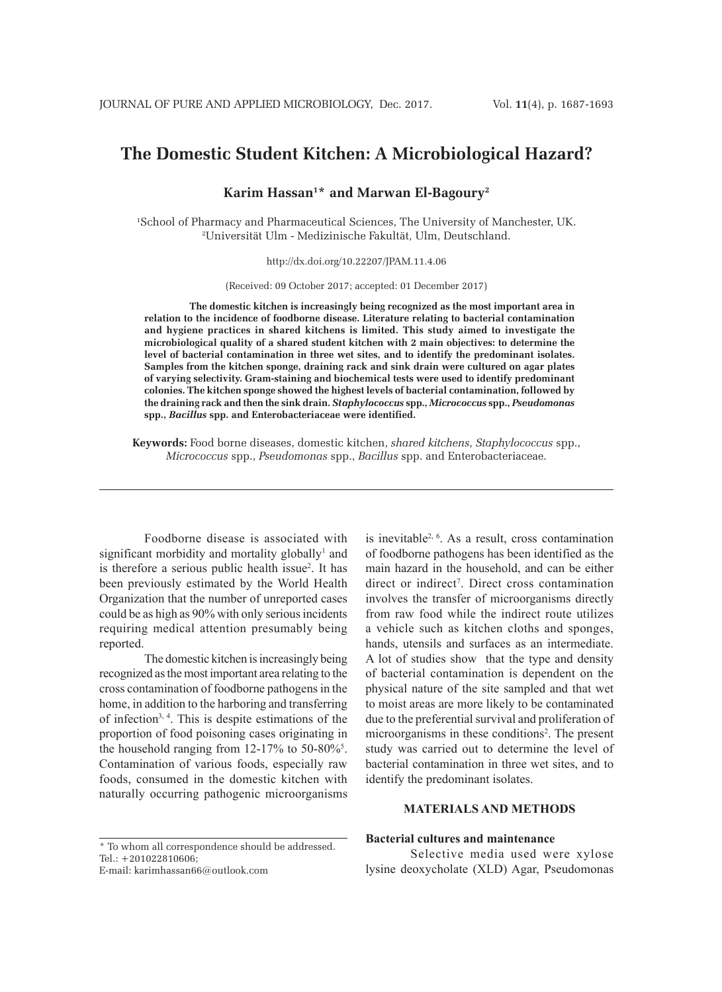# **The Domestic Student Kitchen: A Microbiological Hazard?**

**Karim Hassan1 \* and Marwan El-Bagoury2**

1 School of Pharmacy and Pharmaceutical Sciences, The University of Manchester, UK. 2 Universität Ulm - Medizinische Fakultät, Ulm, Deutschland.

http://dx.doi.org/10.22207/JPAM.11.4.06

(Received: 09 October 2017; accepted: 01 December 2017)

**The domestic kitchen is increasingly being recognized as the most important area in relation to the incidence of foodborne disease. Literature relating to bacterial contamination and hygiene practices in shared kitchens is limited. This study aimed to investigate the microbiological quality of a shared student kitchen with 2 main objectives: to determine the level of bacterial contamination in three wet sites, and to identify the predominant isolates. Samples from the kitchen sponge, draining rack and sink drain were cultured on agar plates of varying selectivity. Gram-staining and biochemical tests were used to identify predominant colonies. The kitchen sponge showed the highest levels of bacterial contamination, followed by the draining rack and then the sink drain.** *Staphylococcus* **spp.,** *Micrococcus* **spp.,** *Pseudomonas* **spp.,** *Bacillus* **spp. and Enterobacteriaceae were identified.** 

**Keywords:** Food borne diseases, domestic kitchen, *shared kitchens*, *Staphylococcus* spp., *Micrococcus* spp., *Pseudomonas* spp., *Bacillus* spp. and Enterobacteriaceae.

Foodborne disease is associated with significant morbidity and mortality globally<sup>1</sup> and is therefore a serious public health issue<sup>2</sup>. It has been previously estimated by the World Health Organization that the number of unreported cases could be as high as 90% with only serious incidents requiring medical attention presumably being reported.

The domestic kitchen is increasingly being recognized as the most important area relating to the cross contamination of foodborne pathogens in the home, in addition to the harboring and transferring of infection3, 4. This is despite estimations of the proportion of food poisoning cases originating in the household ranging from  $12-17\%$  to  $50-80\%$ <sup>5</sup>. Contamination of various foods, especially raw foods, consumed in the domestic kitchen with naturally occurring pathogenic microorganisms

\* To whom all correspondence should be addressed. Tel.: +201022810606;

E-mail: karimhassan66@outlook.com

is inevitable2, 6. As a result, cross contamination of foodborne pathogens has been identified as the main hazard in the household, and can be either direct or indirect<sup>7</sup>. Direct cross contamination involves the transfer of microorganisms directly from raw food while the indirect route utilizes a vehicle such as kitchen cloths and sponges, hands, utensils and surfaces as an intermediate. A lot of studies show that the type and density of bacterial contamination is dependent on the physical nature of the site sampled and that wet to moist areas are more likely to be contaminated due to the preferential survival and proliferation of microorganisms in these conditions<sup>2</sup>. The present study was carried out to determine the level of bacterial contamination in three wet sites, and to identify the predominant isolates.

# **MATERIALS AND METHODS**

#### **Bacterial cultures and maintenance**

Selective media used were xylose lysine deoxycholate (XLD) Agar, Pseudomonas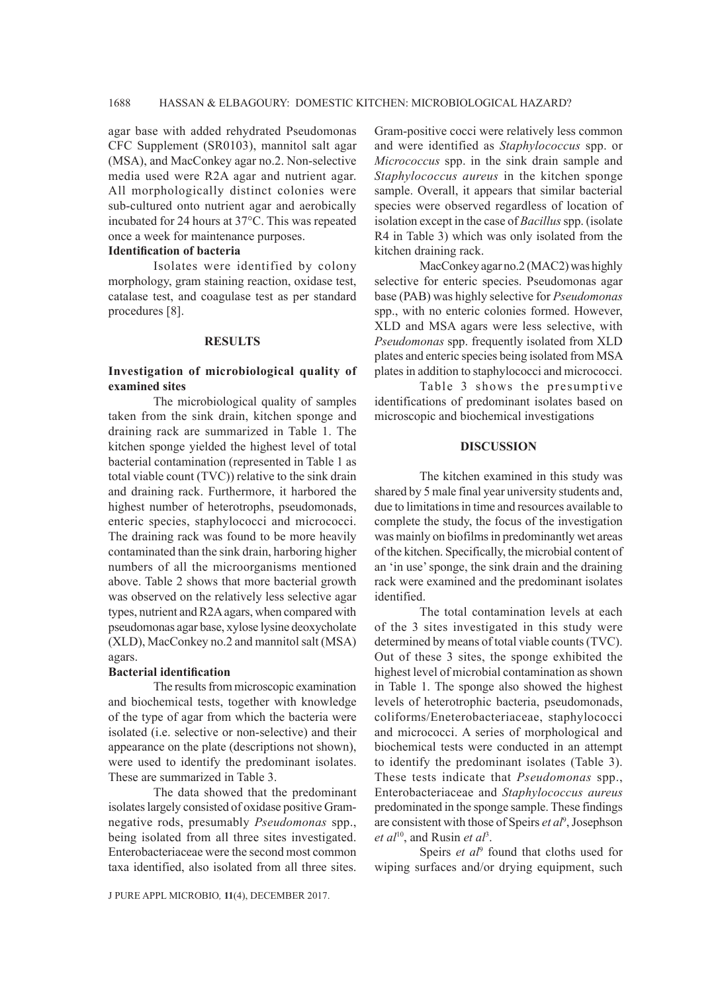agar base with added rehydrated Pseudomonas CFC Supplement (SR0103), mannitol salt agar (MSA), and MacConkey agar no.2. Non-selective media used were R2A agar and nutrient agar. All morphologically distinct colonies were sub-cultured onto nutrient agar and aerobically incubated for 24 hours at 37°C. This was repeated once a week for maintenance purposes.

#### **Identification of bacteria**

Isolates were identified by colony morphology, gram staining reaction, oxidase test, catalase test, and coagulase test as per standard procedures [8].

#### **RESULTS**

## **Investigation of microbiological quality of examined sites**

The microbiological quality of samples taken from the sink drain, kitchen sponge and draining rack are summarized in Table 1. The kitchen sponge yielded the highest level of total bacterial contamination (represented in Table 1 as total viable count (TVC)) relative to the sink drain and draining rack. Furthermore, it harbored the highest number of heterotrophs, pseudomonads, enteric species, staphylococci and micrococci. The draining rack was found to be more heavily contaminated than the sink drain, harboring higher numbers of all the microorganisms mentioned above. Table 2 shows that more bacterial growth was observed on the relatively less selective agar types, nutrient and R2A agars, when compared with pseudomonas agar base, xylose lysine deoxycholate (XLD), MacConkey no.2 and mannitol salt (MSA) agars.

#### **Bacterial identification**

The results from microscopic examination and biochemical tests, together with knowledge of the type of agar from which the bacteria were isolated (i.e. selective or non-selective) and their appearance on the plate (descriptions not shown), were used to identify the predominant isolates. These are summarized in Table 3.

The data showed that the predominant isolates largely consisted of oxidase positive Gramnegative rods, presumably *Pseudomonas* spp., being isolated from all three sites investigated. Enterobacteriaceae were the second most common taxa identified, also isolated from all three sites.

Gram-positive cocci were relatively less common and were identified as *Staphylococcus* spp. or *Micrococcus* spp. in the sink drain sample and *Staphylococcus aureus* in the kitchen sponge sample. Overall, it appears that similar bacterial species were observed regardless of location of isolation except in the case of *Bacillus* spp. (isolate R4 in Table 3) which was only isolated from the kitchen draining rack.

MacConkey agar no.2 (MAC2) was highly selective for enteric species. Pseudomonas agar base (PAB) was highly selective for *Pseudomonas* spp., with no enteric colonies formed. However, XLD and MSA agars were less selective, with *Pseudomonas* spp. frequently isolated from XLD plates and enteric species being isolated from MSA plates in addition to staphylococci and micrococci.

Table 3 shows the presumptive identifications of predominant isolates based on microscopic and biochemical investigations

### **DISCUSSION**

The kitchen examined in this study was shared by 5 male final year university students and, due to limitations in time and resources available to complete the study, the focus of the investigation was mainly on biofilms in predominantly wet areas of the kitchen. Specifically, the microbial content of an 'in use' sponge, the sink drain and the draining rack were examined and the predominant isolates identified.

The total contamination levels at each of the 3 sites investigated in this study were determined by means of total viable counts (TVC). Out of these 3 sites, the sponge exhibited the highest level of microbial contamination as shown in Table 1. The sponge also showed the highest levels of heterotrophic bacteria, pseudomonads, coliforms/Eneterobacteriaceae, staphylococci and micrococci. A series of morphological and biochemical tests were conducted in an attempt to identify the predominant isolates (Table 3). These tests indicate that *Pseudomonas* spp., Enterobacteriaceae and *Staphylococcus aureus*  predominated in the sponge sample. These findings are consistent with those of Speirs *et al*<sup>9</sup> , Josephson *et al*10, and Rusin *et al*<sup>3</sup> .

Speirs *et al*<sup>9</sup> found that cloths used for wiping surfaces and/or drying equipment, such

J PURE APPL MICROBIO*,* **11**(4), DECEMBER 2017.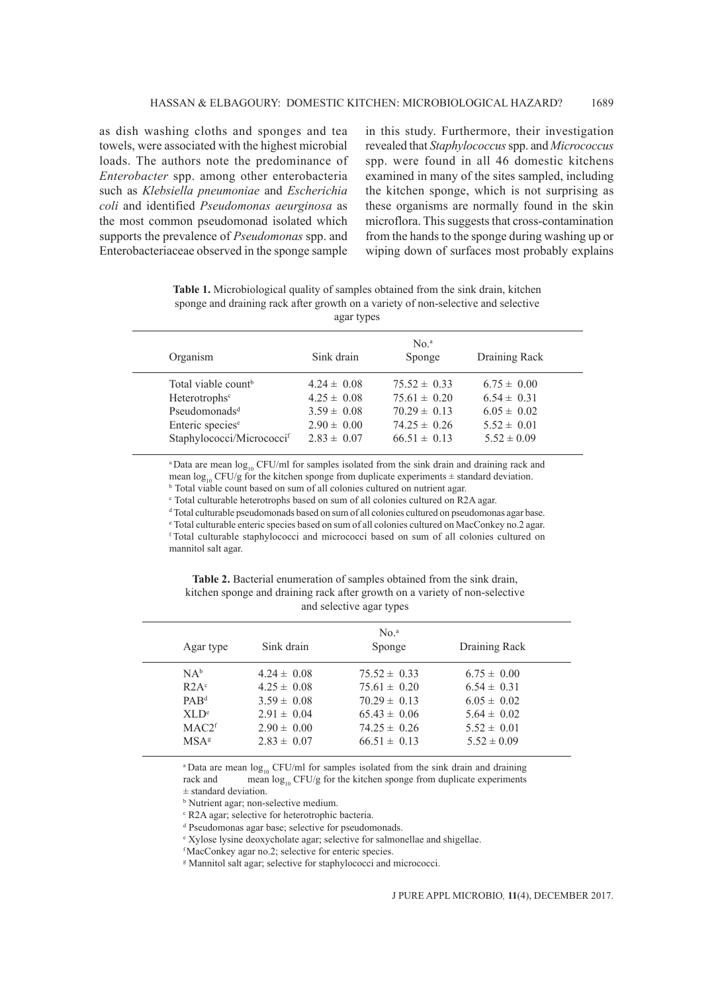as dish washing cloths and sponges and tea towels, were associated with the highest microbial loads. The authors note the predominance of *Enterobacter* spp. among other enterobacteria such as *Klebsiella pneumoniae* and *Escherichia coli* and identified *Pseudomonas aeurginosa* as the most common pseudomonad isolated which supports the prevalence of *Pseudomonas* spp. and Enterobacteriaceae observed in the sponge sample in this study. Furthermore, their investigation revealed that *Staphylococcus* spp. and *Micrococcus* spp. were found in all 46 domestic kitchens examined in many of the sites sampled, including the kitchen sponge, which is not surprising as these organisms are normally found in the skin microflora. This suggests that cross-contamination from the hands to the sponge during washing up or wiping down of surfaces most probably explains

**Table 1.** Microbiological quality of samples obtained from the sink drain, kitchen sponge and draining rack after growth on a variety of non-selective and selective agar types

| Organism                                                                                                                                                           | Sink drain                                                                                  | No. <sup>a</sup><br>Sponge                                                                       | Draining Rack                                                                               |  |
|--------------------------------------------------------------------------------------------------------------------------------------------------------------------|---------------------------------------------------------------------------------------------|--------------------------------------------------------------------------------------------------|---------------------------------------------------------------------------------------------|--|
| Total viable count <sup>b</sup><br>Heterotrophs <sup>c</sup><br>Pseudomonads <sup>d</sup><br>Enteric species <sup>e</sup><br>Staphylococci/Micrococci <sup>f</sup> | $4.24 \pm 0.08$<br>$4.25 \pm 0.08$<br>$3.59 \pm 0.08$<br>$2.90 \pm 0.00$<br>$2.83 \pm 0.07$ | $75.52 \pm 0.33$<br>$75.61 \pm 0.20$<br>$70.29 \pm 0.13$<br>$74.25 \pm 0.26$<br>$66.51 \pm 0.13$ | $6.75 \pm 0.00$<br>$6.54 \pm 0.31$<br>$6.05 \pm 0.02$<br>$5.52 \pm 0.01$<br>$5.52 \pm 0.09$ |  |
|                                                                                                                                                                    |                                                                                             |                                                                                                  |                                                                                             |  |

<sup>a</sup> Data are mean log<sub>10</sub> CFU/ml for samples isolated from the sink drain and draining rack and mean log<sub>10</sub> CFU/g for the kitchen sponge from duplicate experiments  $\pm$  standard deviation. b Total viable count based on sum of all colonies cultured on nutrient agar.

c Total culturable heterotrophs based on sum of all colonies cultured on R2A agar.

d Total culturable pseudomonads based on sum of all colonies cultured on pseudomonas agar base.

e Total culturable enteric species based on sum of all colonies cultured on MacConkey no.2 agar. f Total culturable staphylococci and micrococci based on sum of all colonies cultured on mannitol salt agar.

Table 2. Bacterial enumeration of samples obtained from the sink drain, kitchen sponge and draining rack after growth on a variety of non-selective and selective agar types

| Agar type                                                                                          | Sink drain                                                                                                     | No. <sup>a</sup><br>Sponge                                                                                           | Draining Rack                                                                                                  |  |
|----------------------------------------------------------------------------------------------------|----------------------------------------------------------------------------------------------------------------|----------------------------------------------------------------------------------------------------------------------|----------------------------------------------------------------------------------------------------------------|--|
| $NA^b$<br>R2A <sup>c</sup><br>$PAB^d$<br>XLD <sup>e</sup><br>MAC2 <sup>f</sup><br>MSA <sup>g</sup> | $4.24 \pm 0.08$<br>$4.25 \pm 0.08$<br>$3.59 \pm 0.08$<br>$2.91 \pm 0.04$<br>$2.90 \pm 0.00$<br>$2.83 \pm 0.07$ | $75.52 \pm 0.33$<br>$75.61 \pm 0.20$<br>$70.29 \pm 0.13$<br>$65.43 \pm 0.06$<br>$74.25 \pm 0.26$<br>$66.51 \pm 0.13$ | $6.75 \pm 0.00$<br>$6.54 \pm 0.31$<br>$6.05 \pm 0.02$<br>$5.64 \pm 0.02$<br>$5.52 \pm 0.01$<br>$5.52 \pm 0.09$ |  |
|                                                                                                    |                                                                                                                |                                                                                                                      |                                                                                                                |  |

<sup>a</sup> Data are mean  $\log_{10}$  CFU/ml for samples isolated from the sink drain and draining rack and mean  $\log_{10}$  CFU/g for the kitchen sponge from duplicate experiments mean  $log_{10}$  CFU/g for the kitchen sponge from duplicate experiments

± standard deviation.

b Nutrient agar; non-selective medium.

<sup>c</sup> R2A agar; selective for heterotrophic bacteria.

d Pseudomonas agar base; selective for pseudomonads.

e Xylose lysine deoxycholate agar; selective for salmonellae and shigellae.

f MacConkey agar no.2; selective for enteric species.

g Mannitol salt agar; selective for staphylococci and micrococci.

J PURE APPL MICROBIO*,* **11**(4), DECEMBER 2017.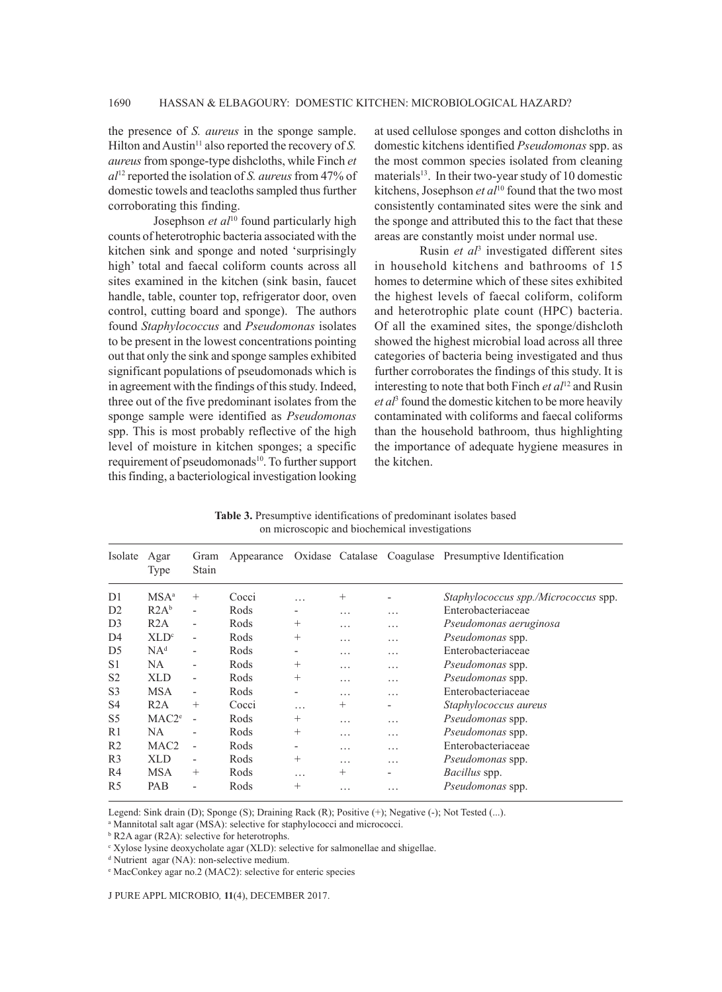the presence of *S. aureus* in the sponge sample. Hilton and Austin<sup>11</sup> also reported the recovery of *S*. *aureus* from sponge-type dishcloths, while Finch *et al*12 reported the isolation of *S. aureus* from 47% of domestic towels and teacloths sampled thus further corroborating this finding.

Josephson *et al*<sup>10</sup> found particularly high counts of heterotrophic bacteria associated with the kitchen sink and sponge and noted 'surprisingly high' total and faecal coliform counts across all sites examined in the kitchen (sink basin, faucet handle, table, counter top, refrigerator door, oven control, cutting board and sponge). The authors found *Staphylococcus* and *Pseudomonas* isolates to be present in the lowest concentrations pointing out that only the sink and sponge samples exhibited significant populations of pseudomonads which is in agreement with the findings of this study. Indeed, three out of the five predominant isolates from the sponge sample were identified as *Pseudomonas* spp. This is most probably reflective of the high level of moisture in kitchen sponges; a specific requirement of pseudomonads<sup>10</sup>. To further support this finding, a bacteriological investigation looking at used cellulose sponges and cotton dishcloths in domestic kitchens identified *Pseudomonas* spp. as the most common species isolated from cleaning materials $13$ . In their two-year study of 10 domestic kitchens, Josephson *et al*<sup>10</sup> found that the two most consistently contaminated sites were the sink and the sponge and attributed this to the fact that these areas are constantly moist under normal use.

Rusin *et al*<sup>3</sup> investigated different sites in household kitchens and bathrooms of 15 homes to determine which of these sites exhibited the highest levels of faecal coliform, coliform and heterotrophic plate count (HPC) bacteria. Of all the examined sites, the sponge/dishcloth showed the highest microbial load across all three categories of bacteria being investigated and thus further corroborates the findings of this study. It is interesting to note that both Finch *et al*12 and Rusin *et al*<sup>3</sup> found the domestic kitchen to be more heavily contaminated with coliforms and faecal coliforms than the household bathroom, thus highlighting the importance of adequate hygiene measures in the kitchen.

**Table 3.** Presumptive identifications of predominant isolates based on microscopic and biochemical investigations

| Isolate        | Agar<br>Type      | Gram<br>Stain            | Appearance |                          | Oxidase Catalase |                | Coagulase Presumptive Identification |
|----------------|-------------------|--------------------------|------------|--------------------------|------------------|----------------|--------------------------------------|
| D <sub>1</sub> | MSA <sup>a</sup>  | $^{+}$                   | Cocci      | .                        | $^{+}$           |                | Staphylococcus spp./Micrococcus spp. |
| D2             | R2A <sup>b</sup>  | $\overline{\phantom{a}}$ | Rods       |                          | .                | $\cdots$       | Enterobacteriaceae                   |
| D <sub>3</sub> | R2A               | $\overline{\phantom{a}}$ | Rods       | $^{+}$                   | .                | .              | Pseudomonas aeruginosa               |
| D <sub>4</sub> | XLD <sup>c</sup>  | $\overline{\phantom{a}}$ | Rods       | $^{+}$                   | .                | $\cdots$       | Pseudomonas spp.                     |
| D <sub>5</sub> | NA <sup>d</sup>   | $\overline{\phantom{a}}$ | Rods       | $\overline{\phantom{a}}$ | .                | $\cdots$       | Enterobacteriaceae                   |
| S <sub>1</sub> | NA                | $\overline{\phantom{a}}$ | Rods       | $^{+}$                   | .                | .              | Pseudomonas spp.                     |
| S <sub>2</sub> | <b>XLD</b>        | $\overline{\phantom{a}}$ | Rods       | $^{+}$                   | .                | $\cdots$       | Pseudomonas spp.                     |
| S <sub>3</sub> | <b>MSA</b>        | $\overline{\phantom{a}}$ | Rods       | $\overline{\phantom{0}}$ | .                | .              | Enterobacteriaceae                   |
| S <sub>4</sub> | R2A               | $^{+}$                   | Cocci      | .                        | $^{+}$           | $\overline{a}$ | Staphylococcus aureus                |
| S5             | MAC2 <sup>e</sup> | $\overline{\phantom{a}}$ | Rods       | $^{+}$                   | .                | .              | Pseudomonas spp.                     |
| R1             | <b>NA</b>         | $\overline{\phantom{0}}$ | Rods       | $^{+}$                   | .                | .              | Pseudomonas spp.                     |
| R <sub>2</sub> | MAC <sub>2</sub>  | $\overline{\phantom{a}}$ | Rods       | $\overline{\phantom{a}}$ | .                | .              | Enterobacteriaceae                   |
| R <sub>3</sub> | <b>XLD</b>        | $\overline{\phantom{a}}$ | Rods       | $^{+}$                   | .                | .              | <i>Pseudomonas</i> spp.              |
| R <sub>4</sub> | <b>MSA</b>        | $^{+}$                   | Rods       | .                        | $^{+}$           | $\overline{a}$ | Bacillus spp.                        |
| R <sub>5</sub> | PAB               | $\overline{\phantom{a}}$ | Rods       | $^{+}$                   | .                | .              | Pseudomonas spp.                     |

Legend: Sink drain (D); Sponge (S); Draining Rack (R); Positive (+); Negative (-); Not Tested (...).

<sup>a</sup> Mannitotal salt agar (MSA): selective for staphylococci and micrococci.

b R2A agar (R2A): selective for heterotrophs.

c Xylose lysine deoxycholate agar (XLD): selective for salmonellae and shigellae.

d Nutrient agar (NA): non-selective medium.

e MacConkey agar no.2 (MAC2): selective for enteric species

J PURE APPL MICROBIO*,* **11**(4), DECEMBER 2017.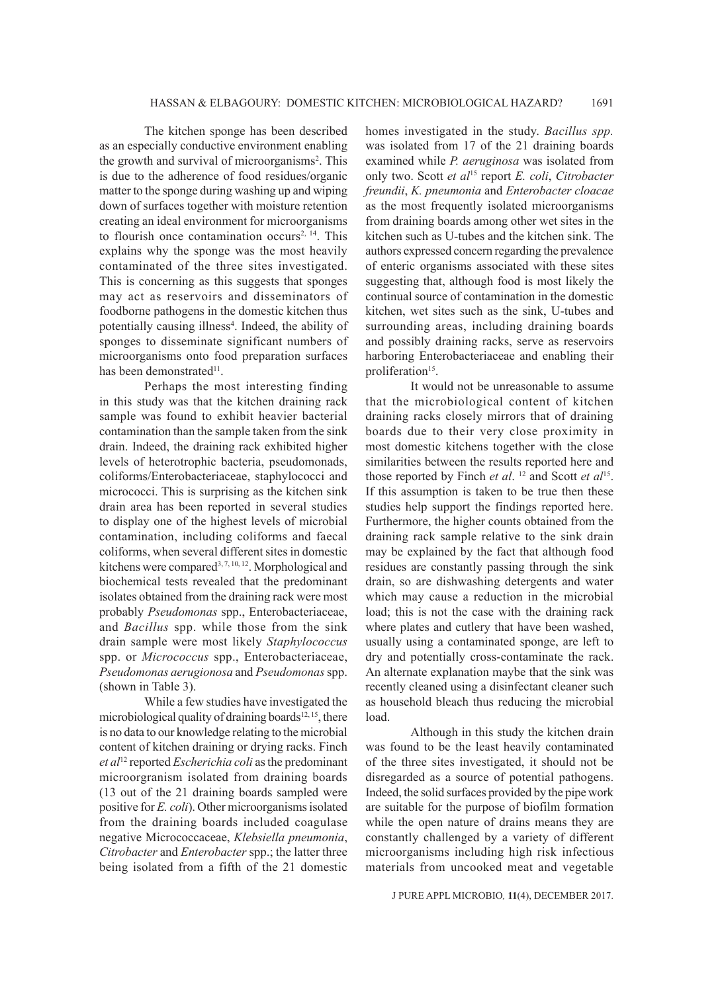The kitchen sponge has been described as an especially conductive environment enabling the growth and survival of microorganisms<sup>2</sup>. This is due to the adherence of food residues/organic matter to the sponge during washing up and wiping down of surfaces together with moisture retention creating an ideal environment for microorganisms to flourish once contamination occurs<sup>2, 14</sup>. This explains why the sponge was the most heavily contaminated of the three sites investigated. This is concerning as this suggests that sponges may act as reservoirs and disseminators of foodborne pathogens in the domestic kitchen thus potentially causing illness<sup>4</sup>. Indeed, the ability of sponges to disseminate significant numbers of microorganisms onto food preparation surfaces has been demonstrated<sup>11</sup>.

Perhaps the most interesting finding in this study was that the kitchen draining rack sample was found to exhibit heavier bacterial contamination than the sample taken from the sink drain. Indeed, the draining rack exhibited higher levels of heterotrophic bacteria, pseudomonads, coliforms/Enterobacteriaceae, staphylococci and micrococci. This is surprising as the kitchen sink drain area has been reported in several studies to display one of the highest levels of microbial contamination, including coliforms and faecal coliforms, when several different sites in domestic kitchens were compared<sup>3, 7, 10, 12</sup>. Morphological and biochemical tests revealed that the predominant isolates obtained from the draining rack were most probably *Pseudomonas* spp., Enterobacteriaceae, and *Bacillus* spp. while those from the sink drain sample were most likely *Staphylococcus*  spp. or *Micrococcus* spp., Enterobacteriaceae, *Pseudomonas aerugionosa* and *Pseudomonas* spp. (shown in Table 3).

While a few studies have investigated the microbiological quality of draining boards<sup>12, 15</sup>, there is no data to our knowledge relating to the microbial content of kitchen draining or drying racks. Finch *et al*12 reported *Escherichia coli* as the predominant microorgranism isolated from draining boards (13 out of the 21 draining boards sampled were positive for *E. coli*). Other microorganisms isolated from the draining boards included coagulase negative Micrococcaceae, *Klebsiella pneumonia*, *Citrobacter* and *Enterobacter* spp.; the latter three being isolated from a fifth of the 21 domestic

homes investigated in the study. *Bacillus spp.* was isolated from 17 of the 21 draining boards examined while *P. aeruginosa* was isolated from only two. Scott *et al*15 report *E. coli*, *Citrobacter freundii*, *K. pneumonia* and *Enterobacter cloacae* as the most frequently isolated microorganisms from draining boards among other wet sites in the kitchen such as U-tubes and the kitchen sink. The authors expressed concern regarding the prevalence of enteric organisms associated with these sites suggesting that, although food is most likely the continual source of contamination in the domestic kitchen, wet sites such as the sink, U-tubes and surrounding areas, including draining boards and possibly draining racks, serve as reservoirs harboring Enterobacteriaceae and enabling their proliferation<sup>15</sup>.

It would not be unreasonable to assume that the microbiological content of kitchen draining racks closely mirrors that of draining boards due to their very close proximity in most domestic kitchens together with the close similarities between the results reported here and those reported by Finch *et al*. 12 and Scott *et al*15. If this assumption is taken to be true then these studies help support the findings reported here. Furthermore, the higher counts obtained from the draining rack sample relative to the sink drain may be explained by the fact that although food residues are constantly passing through the sink drain, so are dishwashing detergents and water which may cause a reduction in the microbial load; this is not the case with the draining rack where plates and cutlery that have been washed, usually using a contaminated sponge, are left to dry and potentially cross-contaminate the rack. An alternate explanation maybe that the sink was recently cleaned using a disinfectant cleaner such as household bleach thus reducing the microbial load.

Although in this study the kitchen drain was found to be the least heavily contaminated of the three sites investigated, it should not be disregarded as a source of potential pathogens. Indeed, the solid surfaces provided by the pipe work are suitable for the purpose of biofilm formation while the open nature of drains means they are constantly challenged by a variety of different microorganisms including high risk infectious materials from uncooked meat and vegetable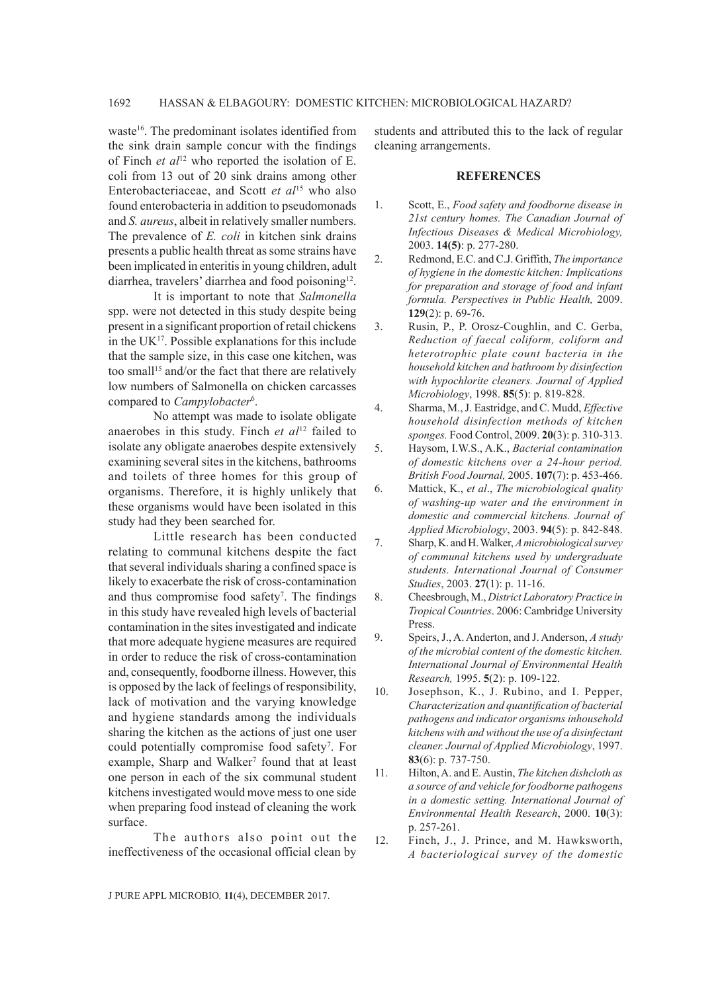waste<sup>16</sup>. The predominant isolates identified from the sink drain sample concur with the findings of Finch *et al*12 who reported the isolation of E. coli from 13 out of 20 sink drains among other Enterobacteriaceae, and Scott *et al*15 who also found enterobacteria in addition to pseudomonads and *S. aureus*, albeit in relatively smaller numbers. The prevalence of *E. coli* in kitchen sink drains presents a public health threat as some strains have been implicated in enteritis in young children, adult diarrhea, travelers' diarrhea and food poisoning<sup>12</sup>.

It is important to note that *Salmonella*  spp. were not detected in this study despite being present in a significant proportion of retail chickens in the  $UK<sup>17</sup>$ . Possible explanations for this include that the sample size, in this case one kitchen, was too small<sup>15</sup> and/or the fact that there are relatively low numbers of Salmonella on chicken carcasses compared to *Campylobacter*<sup>6</sup> .

No attempt was made to isolate obligate anaerobes in this study. Finch *et al*12 failed to isolate any obligate anaerobes despite extensively examining several sites in the kitchens, bathrooms and toilets of three homes for this group of organisms. Therefore, it is highly unlikely that these organisms would have been isolated in this study had they been searched for.

Little research has been conducted relating to communal kitchens despite the fact that several individuals sharing a confined space is likely to exacerbate the risk of cross-contamination and thus compromise food safety<sup>7</sup>. The findings in this study have revealed high levels of bacterial contamination in the sites investigated and indicate that more adequate hygiene measures are required in order to reduce the risk of cross-contamination and, consequently, foodborne illness. However, this is opposed by the lack of feelings of responsibility, lack of motivation and the varying knowledge and hygiene standards among the individuals sharing the kitchen as the actions of just one user could potentially compromise food safety<sup>7</sup>. For example, Sharp and Walker<sup>7</sup> found that at least one person in each of the six communal student kitchens investigated would move mess to one side when preparing food instead of cleaning the work surface.

The authors also point out the ineffectiveness of the occasional official clean by

students and attributed this to the lack of regular cleaning arrangements.

#### **REFERENCES**

- 1. Scott, E., *Food safety and foodborne disease in 21st century homes. The Canadian Journal of Infectious Diseases & Medical Microbiology,*  2003. **14(5)**: p. 277-280.
- 2. Redmond, E.C. and C.J. Griffith, *The importance of hygiene in the domestic kitchen: Implications for preparation and storage of food and infant formula. Perspectives in Public Health,* 2009. **129**(2): p. 69-76.
- 3. Rusin, P., P. Orosz-Coughlin, and C. Gerba, *Reduction of faecal coliform, coliform and heterotrophic plate count bacteria in the household kitchen and bathroom by disinfection with hypochlorite cleaners. Journal of Applied Microbiology*, 1998. **85**(5): p. 819-828.
- 4. Sharma, M., J. Eastridge, and C. Mudd, *Effective household disinfection methods of kitchen sponges.* Food Control, 2009. **20**(3): p. 310-313.
- 5. Haysom, I.W.S., A.K., *Bacterial contamination of domestic kitchens over a 24-hour period. British Food Journal,* 2005. **107**(7): p. 453-466.
- 6. Mattick, K., *et al*., *The microbiological quality of washing-up water and the environment in domestic and commercial kitchens. Journal of Applied Microbiology*, 2003. **94**(5): p. 842-848.
- 7. Sharp, K. and H. Walker, *A microbiological survey of communal kitchens used by undergraduate students. International Journal of Consumer Studies*, 2003. **27**(1): p. 11-16.
- 8. Cheesbrough, M., *District Laboratory Practice in Tropical Countries*. 2006: Cambridge University Press.
- 9. Speirs, J., A. Anderton, and J. Anderson, *A study of the microbial content of the domestic kitchen. International Journal of Environmental Health Research,* 1995. **5**(2): p. 109-122.
- 10. Josephson, K., J. Rubino, and I. Pepper, *Characterization and quantification of bacterial pathogens and indicator organisms inhousehold kitchens with and without the use of a disinfectant cleaner. Journal of Applied Microbiology*, 1997. **83**(6): p. 737-750.
- 11. Hilton, A. and E. Austin, *The kitchen dishcloth as a source of and vehicle for foodborne pathogens in a domestic setting. International Journal of Environmental Health Research*, 2000. **10**(3): p. 257-261.
- 12. Finch, J., J. Prince, and M. Hawksworth, *A bacteriological survey of the domestic*